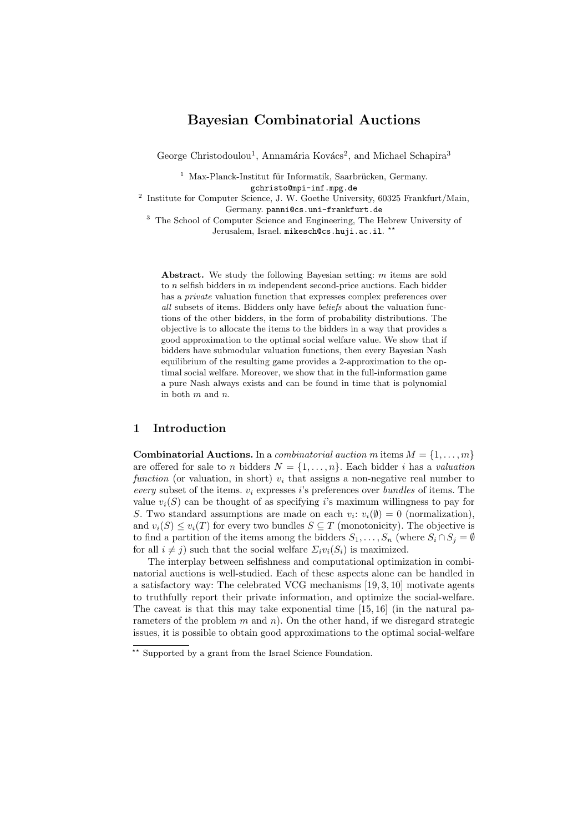# Bayesian Combinatorial Auctions

George Christodoulou<sup>1</sup>, Annamária Kovács<sup>2</sup>, and Michael Schapira<sup>3</sup>

 $1$  Max-Planck-Institut für Informatik, Saarbrücken, Germany. gchristo@mpi-inf.mpg.de

<sup>2</sup> Institute for Computer Science, J. W. Goethe University, 60325 Frankfurt/Main, Germany. panni@cs.uni-frankfurt.de

<sup>3</sup> The School of Computer Science and Engineering, The Hebrew University of Jerusalem, Israel. mikesch@cs.huji.ac.il. \*\*

Abstract. We study the following Bayesian setting: m items are sold to  $n$  selfish bidders in  $m$  independent second-price auctions. Each bidder has a private valuation function that expresses complex preferences over all subsets of items. Bidders only have beliefs about the valuation functions of the other bidders, in the form of probability distributions. The objective is to allocate the items to the bidders in a way that provides a good approximation to the optimal social welfare value. We show that if bidders have submodular valuation functions, then every Bayesian Nash equilibrium of the resulting game provides a 2-approximation to the optimal social welfare. Moreover, we show that in the full-information game a pure Nash always exists and can be found in time that is polynomial in both  $m$  and  $n$ .

## 1 Introduction

**Combinatorial Auctions.** In a *combinatorial auction* m items  $M = \{1, \ldots, m\}$ are offered for sale to n bidders  $N = \{1, \ldots, n\}$ . Each bidder i has a valuation function (or valuation, in short)  $v_i$  that assigns a non-negative real number to every subset of the items.  $v_i$  expresses is preferences over bundles of items. The value  $v_i(S)$  can be thought of as specifying i's maximum willingness to pay for S. Two standard assumptions are made on each  $v_i: v_i(\emptyset) = 0$  (normalization), and  $v_i(S) \le v_i(T)$  for every two bundles  $S \subseteq T$  (monotonicity). The objective is to find a partition of the items among the bidders  $S_1, \ldots, S_n$  (where  $S_i \cap S_j = \emptyset$ for all  $i \neq j$ ) such that the social welfare  $\Sigma_i v_i(S_i)$  is maximized.

The interplay between selfishness and computational optimization in combinatorial auctions is well-studied. Each of these aspects alone can be handled in a satisfactory way: The celebrated VCG mechanisms [19, 3, 10] motivate agents to truthfully report their private information, and optimize the social-welfare. The caveat is that this may take exponential time [15, 16] (in the natural parameters of the problem  $m$  and  $n$ ). On the other hand, if we disregard strategic issues, it is possible to obtain good approximations to the optimal social-welfare

 $\overline{\phantom{a}}^*$  Supported by a grant from the Israel Science Foundation.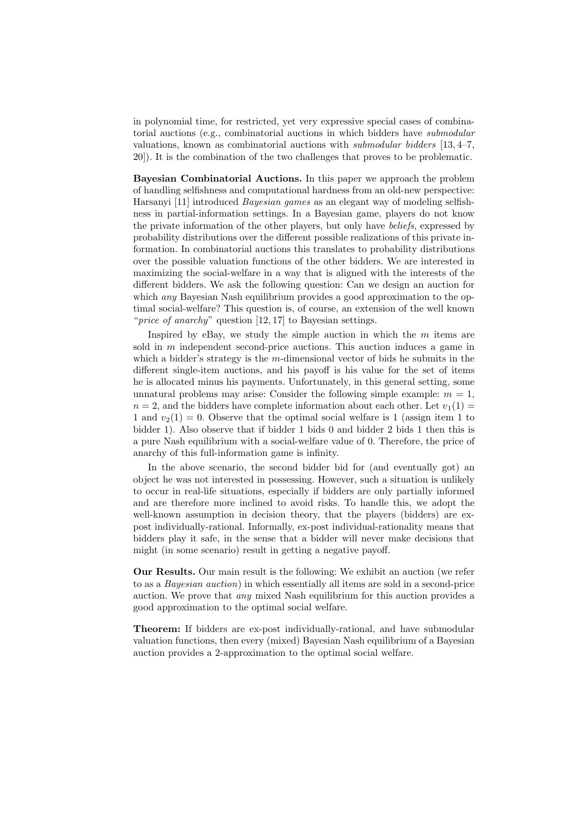in polynomial time, for restricted, yet very expressive special cases of combinatorial auctions (e.g., combinatorial auctions in which bidders have submodular valuations, known as combinatorial auctions with submodular bidders [13, 4–7, 20]). It is the combination of the two challenges that proves to be problematic.

Bayesian Combinatorial Auctions. In this paper we approach the problem of handling selfishness and computational hardness from an old-new perspective: Harsanyi [11] introduced Bayesian games as an elegant way of modeling selfishness in partial-information settings. In a Bayesian game, players do not know the private information of the other players, but only have beliefs, expressed by probability distributions over the different possible realizations of this private information. In combinatorial auctions this translates to probability distributions over the possible valuation functions of the other bidders. We are interested in maximizing the social-welfare in a way that is aligned with the interests of the different bidders. We ask the following question: Can we design an auction for which *any* Bayesian Nash equilibrium provides a good approximation to the optimal social-welfare? This question is, of course, an extension of the well known "*price of anarchy*" question  $[12, 17]$  to Bayesian settings.

Inspired by eBay, we study the simple auction in which the  $m$  items are sold in  $m$  independent second-price auctions. This auction induces a game in which a bidder's strategy is the m-dimensional vector of bids he submits in the different single-item auctions, and his payoff is his value for the set of items he is allocated minus his payments. Unfortunately, in this general setting, some unnatural problems may arise: Consider the following simple example:  $m = 1$ ,  $n = 2$ , and the bidders have complete information about each other. Let  $v_1(1) =$ 1 and  $v_2(1) = 0$ . Observe that the optimal social welfare is 1 (assign item 1 to bidder 1). Also observe that if bidder 1 bids 0 and bidder 2 bids 1 then this is a pure Nash equilibrium with a social-welfare value of 0. Therefore, the price of anarchy of this full-information game is infinity.

In the above scenario, the second bidder bid for (and eventually got) an object he was not interested in possessing. However, such a situation is unlikely to occur in real-life situations, especially if bidders are only partially informed and are therefore more inclined to avoid risks. To handle this, we adopt the well-known assumption in decision theory, that the players (bidders) are expost individually-rational. Informally, ex-post individual-rationality means that bidders play it safe, in the sense that a bidder will never make decisions that might (in some scenario) result in getting a negative payoff.

Our Results. Our main result is the following: We exhibit an auction (we refer to as a Bayesian auction) in which essentially all items are sold in a second-price auction. We prove that any mixed Nash equilibrium for this auction provides a good approximation to the optimal social welfare.

Theorem: If bidders are ex-post individually-rational, and have submodular valuation functions, then every (mixed) Bayesian Nash equilibrium of a Bayesian auction provides a 2-approximation to the optimal social welfare.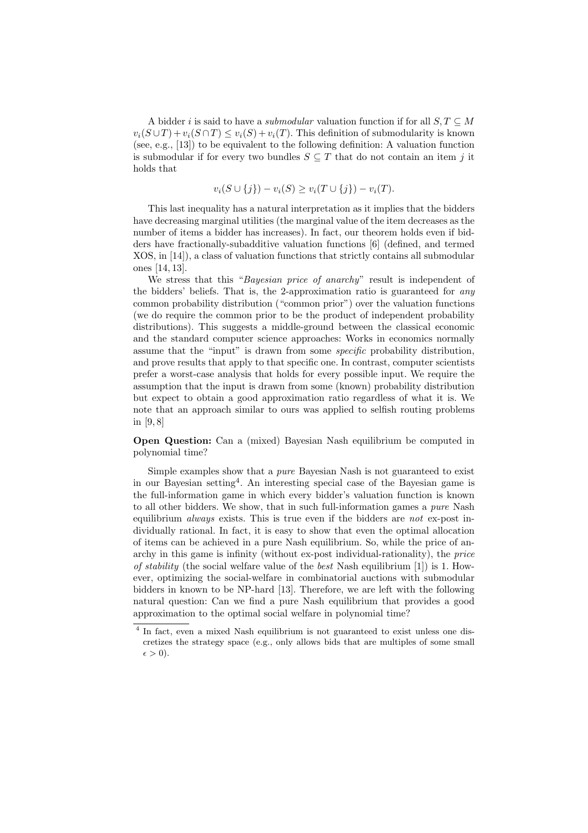A bidder i is said to have a *submodular* valuation function if for all  $S, T \subseteq M$  $v_i(S \cup T) + v_i(S \cap T) \leq v_i(S) + v_i(T)$ . This definition of submodularity is known (see, e.g., [13]) to be equivalent to the following definition: A valuation function is submodular if for every two bundles  $S \subseteq T$  that do not contain an item j it holds that

$$
v_i(S \cup \{j\}) - v_i(S) \ge v_i(T \cup \{j\}) - v_i(T).
$$

This last inequality has a natural interpretation as it implies that the bidders have decreasing marginal utilities (the marginal value of the item decreases as the number of items a bidder has increases). In fact, our theorem holds even if bidders have fractionally-subadditive valuation functions [6] (defined, and termed XOS, in [14]), a class of valuation functions that strictly contains all submodular ones [14, 13].

We stress that this "Bayesian price of anarchy" result is independent of the bidders' beliefs. That is, the 2-approximation ratio is guaranteed for any common probability distribution ("common prior") over the valuation functions (we do require the common prior to be the product of independent probability distributions). This suggests a middle-ground between the classical economic and the standard computer science approaches: Works in economics normally assume that the "input" is drawn from some specific probability distribution, and prove results that apply to that specific one. In contrast, computer scientists prefer a worst-case analysis that holds for every possible input. We require the assumption that the input is drawn from some (known) probability distribution but expect to obtain a good approximation ratio regardless of what it is. We note that an approach similar to ours was applied to selfish routing problems in [9, 8]

Open Question: Can a (mixed) Bayesian Nash equilibrium be computed in polynomial time?

Simple examples show that a pure Bayesian Nash is not guaranteed to exist in our Bayesian setting<sup>4</sup>. An interesting special case of the Bayesian game is the full-information game in which every bidder's valuation function is known to all other bidders. We show, that in such full-information games a pure Nash equilibrium *always* exists. This is true even if the bidders are not ex-post individually rational. In fact, it is easy to show that even the optimal allocation of items can be achieved in a pure Nash equilibrium. So, while the price of anarchy in this game is infinity (without ex-post individual-rationality), the price of stability (the social welfare value of the best Nash equilibrium [1]) is 1. However, optimizing the social-welfare in combinatorial auctions with submodular bidders in known to be NP-hard [13]. Therefore, we are left with the following natural question: Can we find a pure Nash equilibrium that provides a good approximation to the optimal social welfare in polynomial time?

<sup>&</sup>lt;sup>4</sup> In fact, even a mixed Nash equilibrium is not guaranteed to exist unless one discretizes the strategy space (e.g., only allows bids that are multiples of some small  $\epsilon > 0$ ).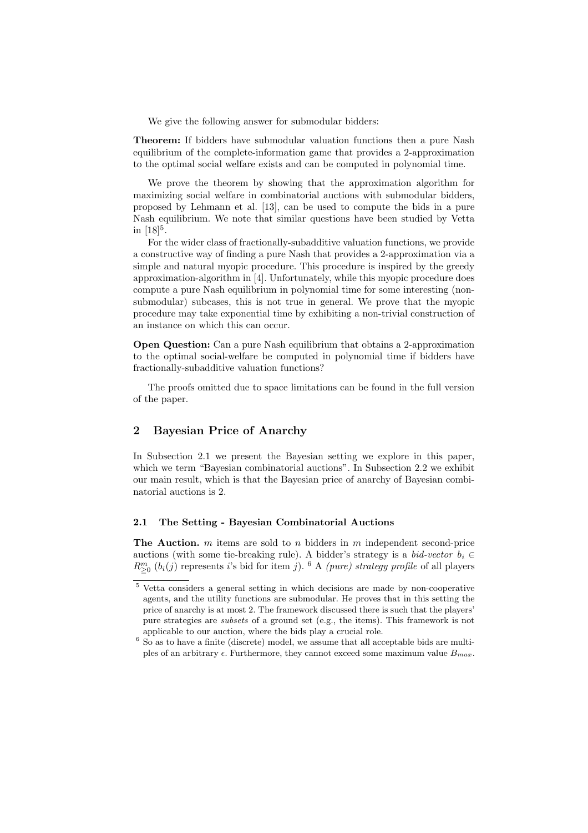We give the following answer for submodular bidders:

Theorem: If bidders have submodular valuation functions then a pure Nash equilibrium of the complete-information game that provides a 2-approximation to the optimal social welfare exists and can be computed in polynomial time.

We prove the theorem by showing that the approximation algorithm for maximizing social welfare in combinatorial auctions with submodular bidders, proposed by Lehmann et al. [13], can be used to compute the bids in a pure Nash equilibrium. We note that similar questions have been studied by Vetta in  $[18]^5$ .

For the wider class of fractionally-subadditive valuation functions, we provide a constructive way of finding a pure Nash that provides a 2-approximation via a simple and natural myopic procedure. This procedure is inspired by the greedy approximation-algorithm in [4]. Unfortunately, while this myopic procedure does compute a pure Nash equilibrium in polynomial time for some interesting (nonsubmodular) subcases, this is not true in general. We prove that the myopic procedure may take exponential time by exhibiting a non-trivial construction of an instance on which this can occur.

Open Question: Can a pure Nash equilibrium that obtains a 2-approximation to the optimal social-welfare be computed in polynomial time if bidders have fractionally-subadditive valuation functions?

The proofs omitted due to space limitations can be found in the full version of the paper.

### 2 Bayesian Price of Anarchy

In Subsection 2.1 we present the Bayesian setting we explore in this paper, which we term "Bayesian combinatorial auctions". In Subsection 2.2 we exhibit our main result, which is that the Bayesian price of anarchy of Bayesian combinatorial auctions is 2.

#### 2.1 The Setting - Bayesian Combinatorial Auctions

The Auction.  $m$  items are sold to  $n$  bidders in  $m$  independent second-price auctions (with some tie-breaking rule). A bidder's strategy is a *bid-vector*  $b_i \in$  $R_{\geq 0}^{m}$  (b<sub>i</sub>(j) represents i's bid for item j). <sup>6</sup> A (pure) strategy profile of all players

<sup>5</sup> Vetta considers a general setting in which decisions are made by non-cooperative agents, and the utility functions are submodular. He proves that in this setting the price of anarchy is at most 2. The framework discussed there is such that the players' pure strategies are subsets of a ground set (e.g., the items). This framework is not applicable to our auction, where the bids play a crucial role.

 $6$  So as to have a finite (discrete) model, we assume that all acceptable bids are multiples of an arbitrary  $\epsilon$ . Furthermore, they cannot exceed some maximum value  $B_{max}$ .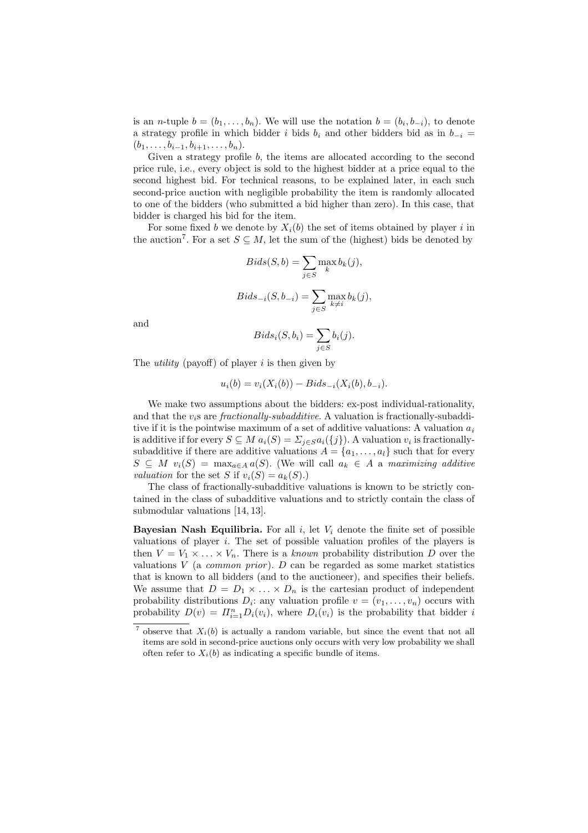is an *n*-tuple  $b = (b_1, \ldots, b_n)$ . We will use the notation  $b = (b_i, b_{-i})$ , to denote a strategy profile in which bidder i bids  $b_i$  and other bidders bid as in  $b_{-i}$  =  $(b_1, \ldots, b_{i-1}, b_{i+1}, \ldots, b_n).$ 

Given a strategy profile b, the items are allocated according to the second price rule, i.e., every object is sold to the highest bidder at a price equal to the second highest bid. For technical reasons, to be explained later, in each such second-price auction with negligible probability the item is randomly allocated to one of the bidders (who submitted a bid higher than zero). In this case, that bidder is charged his bid for the item.

For some fixed b we denote by  $X_i(b)$  the set of items obtained by player i in the auction<sup>7</sup>. For a set  $S \subseteq M$ , let the sum of the (highest) bids be denoted by

$$
Bids(S, b) = \sum_{j \in S} \max_{k} b_k(j),
$$
  

$$
Bids_{-i}(S, b_{-i}) = \sum_{j \in S} \max_{k \neq i} b_k(j),
$$

and

$$
Bids_i(S, b_i) = \sum_{j \in S} b_i(j).
$$

The *utility* (payoff) of player i is then given by

$$
u_i(b) = v_i(X_i(b)) - Bids_{-i}(X_i(b), b_{-i}).
$$

We make two assumptions about the bidders: ex-post individual-rationality, and that the  $v_i$ s are *fractionally-subadditive*. A valuation is fractionally-subadditive if it is the pointwise maximum of a set of additive valuations: A valuation  $a_i$ is additive if for every  $S \subseteq M$   $a_i(S) = \sum_{j \in S} a_i(\{j\})$ . A valuation  $v_i$  is fractionallysubadditive if there are additive valuations  $A = \{a_1, \ldots, a_l\}$  such that for every  $S \subseteq M$   $v_i(S) = \max_{a \in A} a(S)$ . (We will call  $a_k \in A$  a maximizing additive valuation for the set S if  $v_i(S) = a_k(S)$ .

The class of fractionally-subadditive valuations is known to be strictly contained in the class of subadditive valuations and to strictly contain the class of submodular valuations [14, 13].

**Bayesian Nash Equilibria.** For all i, let  $V_i$  denote the finite set of possible valuations of player  $i$ . The set of possible valuation profiles of the players is then  $V = V_1 \times \ldots \times V_n$ . There is a known probability distribution D over the valuations  $V$  (a *common prior*).  $D$  can be regarded as some market statistics that is known to all bidders (and to the auctioneer), and specifies their beliefs. We assume that  $D = D_1 \times \ldots \times D_n$  is the cartesian product of independent probability distributions  $D_i$ : any valuation profile  $v = (v_1, \ldots, v_n)$  occurs with probability  $D(v) = \prod_{i=1}^n D_i(v_i)$ , where  $D_i(v_i)$  is the probability that bidder i

<sup>&</sup>lt;sup>7</sup> observe that  $X_i(b)$  is actually a random variable, but since the event that not all items are sold in second-price auctions only occurs with very low probability we shall often refer to  $X_i(b)$  as indicating a specific bundle of items.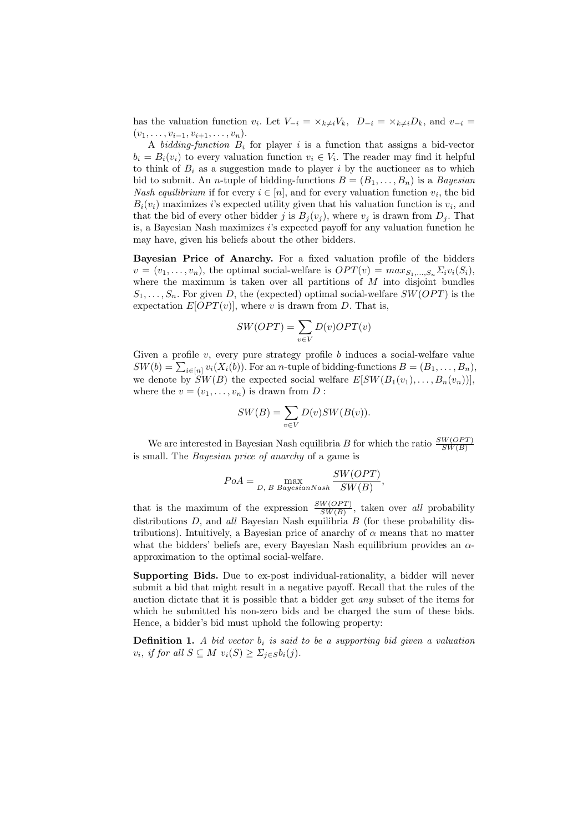has the valuation function  $v_i$ . Let  $V_{-i} = \times_{k \neq i} V_k$ ,  $D_{-i} = \times_{k \neq i} D_k$ , and  $v_{-i} =$  $(v_1, \ldots, v_{i-1}, v_{i+1}, \ldots, v_n).$ 

A bidding-function  $B_i$  for player i is a function that assigns a bid-vector  $b_i = B_i(v_i)$  to every valuation function  $v_i \in V_i$ . The reader may find it helpful to think of  $B_i$  as a suggestion made to player i by the auctioneer as to which bid to submit. An *n*-tuple of bidding-functions  $B = (B_1, \ldots, B_n)$  is a Bayesian *Nash equilibrium* if for every  $i \in [n]$ , and for every valuation function  $v_i$ , the bid  $B_i(v_i)$  maximizes i's expected utility given that his valuation function is  $v_i$ , and that the bid of every other bidder j is  $B_i(v_i)$ , where  $v_j$  is drawn from  $D_j$ . That is, a Bayesian Nash maximizes  $i$ 's expected payoff for any valuation function he may have, given his beliefs about the other bidders.

Bayesian Price of Anarchy. For a fixed valuation profile of the bidders  $v = (v_1, \ldots, v_n)$ , the optimal social-welfare is  $OPT(v) = max_{S_1, \ldots, S_n} \Sigma_i v_i(S_i)$ , where the maximum is taken over all partitions of  $M$  into disjoint bundles  $S_1, \ldots, S_n$ . For given D, the (expected) optimal social-welfare  $SW(OPT)$  is the expectation  $E[OPT(v)]$ , where v is drawn from D. That is,

$$
SW(OPT) = \sum_{v \in V} D(v) OPT(v)
$$

Given a profile  $v$ , every pure strategy profile  $b$  induces a social-welfare value  $SW(b) = \sum_{i \in [n]} v_i(X_i(b))$ . For an *n*-tuple of bidding-functions  $B = (B_1, \ldots, B_n)$ , we denote by  $SW(B)$  the expected social welfare  $E[SW(B_1(v_1), \ldots, B_n(v_n))],$ where the  $v = (v_1, \ldots, v_n)$  is drawn from D:

$$
SW(B) = \sum_{v \in V} D(v)SW(B(v)).
$$

We are interested in Bayesian Nash equilibria B for which the ratio  $\frac{SW(OPT)}{SW(B)}$ is small. The Bayesian price of anarchy of a game is

$$
PoA = \max_{D, B \; Bayesian Nash} \frac{SW(OPT)}{SW(B)},
$$

that is the maximum of the expression  $\frac{SW(OPT)}{SW(B)}$ , taken over all probability distributions  $D$ , and all Bayesian Nash equilibria  $B$  (for these probability distributions). Intuitively, a Bayesian price of anarchy of  $\alpha$  means that no matter what the bidders' beliefs are, every Bayesian Nash equilibrium provides an  $\alpha$ approximation to the optimal social-welfare.

Supporting Bids. Due to ex-post individual-rationality, a bidder will never submit a bid that might result in a negative payoff. Recall that the rules of the auction dictate that it is possible that a bidder get any subset of the items for which he submitted his non-zero bids and be charged the sum of these bids. Hence, a bidder's bid must uphold the following property:

**Definition 1.** A bid vector  $b_i$  is said to be a supporting bid given a valuation  $v_i$ , if for all  $S \subseteq M$   $v_i(S) \geq \sum_{j \in S} b_i(j)$ .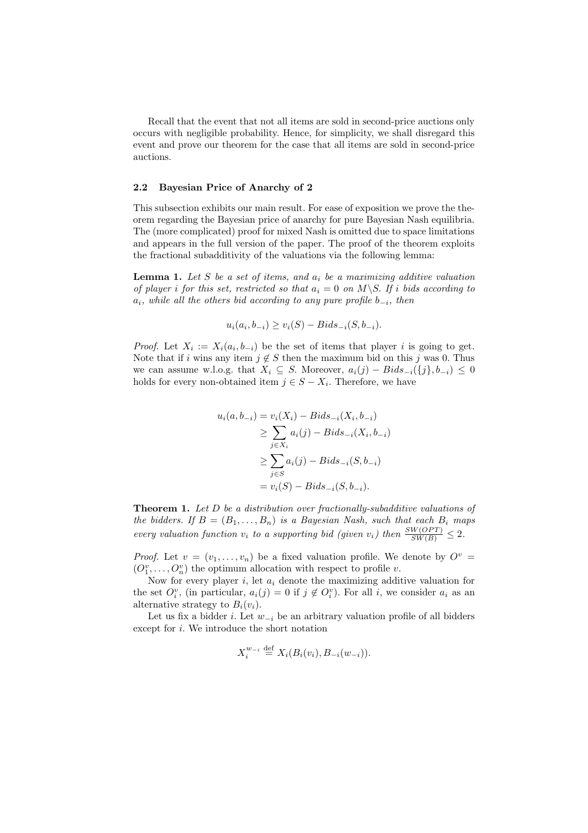Recall that the event that not all items are sold in second-price auctions only occurs with negligible probability. Hence, for simplicity, we shall disregard this event and prove our theorem for the case that all items are sold in second-price auctions.

#### 2.2 Bayesian Price of Anarchy of 2

This subsection exhibits our main result. For ease of exposition we prove the theorem regarding the Bayesian price of anarchy for pure Bayesian Nash equilibria. The (more complicated) proof for mixed Nash is omitted due to space limitations and appears in the full version of the paper. The proof of the theorem exploits the fractional subadditivity of the valuations via the following lemma:

**Lemma 1.** Let S be a set of items, and  $a_i$  be a maximizing additive valuation of player i for this set, restricted so that  $a_i = 0$  on  $M \backslash S$ . If i bids according to  $a_i$ , while all the others bid according to any pure profile  $b_{-i}$ , then

$$
u_i(a_i, b_{-i}) \ge v_i(S) - Bids_{-i}(S, b_{-i}).
$$

*Proof.* Let  $X_i := X_i(a_i, b_{-i})$  be the set of items that player i is going to get. Note that if i wins any item  $j \notin S$  then the maximum bid on this j was 0. Thus we can assume w.l.o.g. that  $X_i \subseteq S$ . Moreover,  $a_i(j) - Bids_{-i}(\{j\}, b_{-i}) \leq 0$ holds for every non-obtained item  $j \in S - X_i$ . Therefore, we have

$$
u_i(a, b_{-i}) = v_i(X_i) - Bids_{-i}(X_i, b_{-i})
$$
  
\n
$$
\geq \sum_{j \in X_i} a_i(j) - Bids_{-i}(X_i, b_{-i})
$$
  
\n
$$
\geq \sum_{j \in S} a_i(j) - Bids_{-i}(S, b_{-i})
$$
  
\n
$$
= v_i(S) - Bids_{-i}(S, b_{-i}).
$$

Theorem 1. Let D be a distribution over fractionally-subadditive valuations of the bidders. If  $B = (B_1, \ldots, B_n)$  is a Bayesian Nash, such that each  $B_i$  maps every valuation function  $v_i$  to a supporting bid (given  $v_i$ ) then  $\frac{SW(OPT)}{SW(B)} \leq 2$ .

*Proof.* Let  $v = (v_1, \ldots, v_n)$  be a fixed valuation profile. We denote by  $O^v =$  $(O_1^v, \ldots, O_n^v)$  the optimum allocation with respect to profile v.

Now for every player  $i$ , let  $a_i$  denote the maximizing additive valuation for the set  $O_i^v$ , (in particular,  $a_i(j) = 0$  if  $j \notin O_i^v$ ). For all i, we consider  $a_i$  as an alternative strategy to  $B_i(v_i)$ .

Let us fix a bidder *i*. Let  $w_{-i}$  be an arbitrary valuation profile of all bidders except for i. We introduce the short notation

$$
X_i^{w_{-i}} \stackrel{\text{def}}{=} X_i(B_i(v_i), B_{-i}(w_{-i})).
$$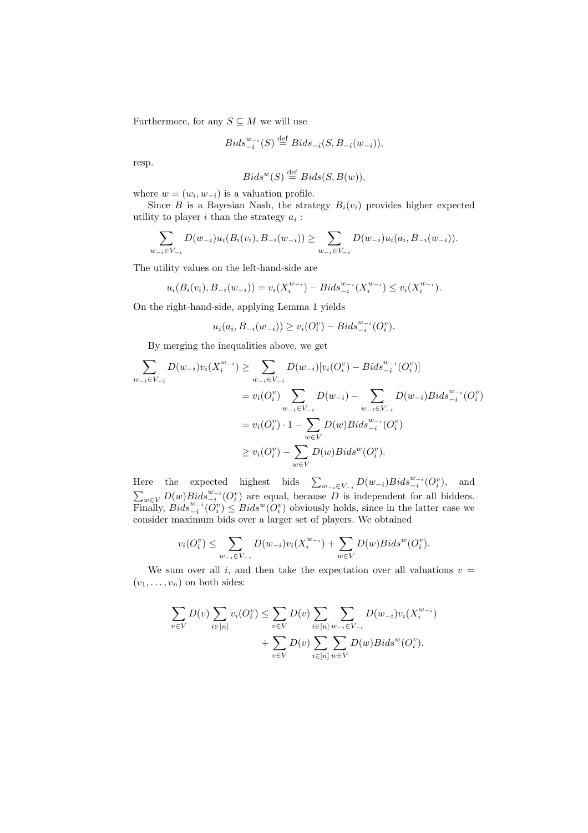Furthermore, for any  $S \subseteq M$  we will use

$$
Bids_{-i}^{w_{-i}}(S) \stackrel{\text{def}}{=} Bids_{-i}(S, B_{-i}(w_{-i})),
$$

resp.

$$
Bids^w(S) \stackrel{\text{def}}{=} Bids(S, B(w)),
$$

where  $w = (w_i, w_{-i})$  is a valuation profile.

Since B is a Bayesian Nash, the strategy  $B_i(v_i)$  provides higher expected utility to player  $i$  than the strategy  $a_i$ :

$$
\sum_{w_{-i}\in V_{-i}} D(w_{-i})u_i(B_i(v_i), B_{-i}(w_{-i})) \ge \sum_{w_{-i}\in V_{-i}} D(w_{-i})u_i(a_i, B_{-i}(w_{-i})).
$$

The utility values on the left-hand-side are

$$
u_i(B_i(v_i), B_{-i}(w_{-i})) = v_i(X_i^{w_{-i}}) - Bids_{-i}^{w_{-i}}(X_i^{w_{-i}}) \le v_i(X_i^{w_{-i}}).
$$

On the right-hand-side, applying Lemma 1 yields

$$
u_i(a_i, B_{-i}(w_{-i})) \ge v_i(O_i^v) - Bids_{-i}^{w_{-i}}(O_i^v).
$$

By merging the inequalities above, we get

$$
\sum_{w_{-i} \in V_{-i}} D(w_{-i}) v_i(X_i^{w_{-i}}) \ge \sum_{w_{-i} \in V_{-i}} D(w_{-i}) [v_i(O_i^v) - Bids_{-i}^{w_{-i}}(O_i^v)]
$$
  

$$
= v_i(O_i^v) \sum_{w_{-i} \in V_{-i}} D(w_{-i}) - \sum_{w_{-i} \in V_{-i}} D(w_{-i})Bids_{-i}^{w_{-i}}(O_i^v)
$$
  

$$
= v_i(O_i^v) \cdot 1 - \sum_{w \in V} D(w)Bids_{-i}^{w_{-i}}(O_i^v)
$$
  

$$
\ge v_i(O_i^v) - \sum_{w \in V} D(w)Bids^w(O_i^v).
$$

Here the expected highest bids  $\sum_{w_{-i} \in V_{-i}} D(w_{-i}) Bids_{-i}^{w_{-i}}(O_i^v)$ , and  $\sum_{w\in V} D(w)$   $Bids_{-i}^{w_{-i}}(O_i^v)$  are equal, because D is independent for all bidders. Finally,  $Bids_{-i}^{w-i}(\overline{O_i^v}) \leq Bids^w(\overline{O_i^v})$  obviously holds, since in the latter case we consider maximum bids over a larger set of players. We obtained

$$
v_i(O_i^v) \le \sum_{w_{-i} \in V_{-i}} D(w_{-i}) v_i(X_i^{w_{-i}}) + \sum_{w \in V} D(w) Bids^w(O_i^v).
$$

We sum over all i, and then take the expectation over all valuations  $v =$  $(v_1, \ldots, v_n)$  on both sides:

$$
\sum_{v \in V} D(v) \sum_{i \in [n]} v_i(O_i^v) \le \sum_{v \in V} D(v) \sum_{i \in [n]} \sum_{w_{-i} \in V_{-i}} D(w_{-i}) v_i(X_i^{w_{-i}}) + \sum_{v \in V} D(v) \sum_{i \in [n]} \sum_{w \in V} D(w) Bids^w(O_i^v).
$$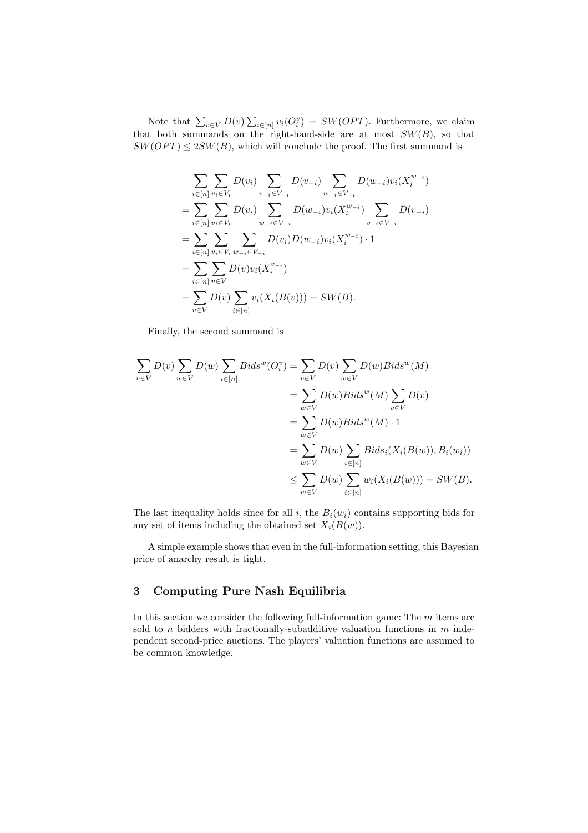Note that  $\sum_{v \in V} D(v) \sum_{i \in [n]} v_i(O_i^v) = SW(OPT)$ . Furthermore, we claim that both summands on the right-hand-side are at most  $SW(B)$ , so that  $SW(OPT) \leq 2SW(B)$ , which will conclude the proof. The first summand is

$$
\sum_{i \in [n]} \sum_{v_i \in V_i} D(v_i) \sum_{v_{-i} \in V_{-i}} D(v_{-i}) \sum_{w_{-i} \in V_{-i}} D(w_{-i}) v_i(X_i^{w_{-i}})
$$
\n
$$
= \sum_{i \in [n]} \sum_{v_i \in V_i} D(v_i) \sum_{w_{-i} \in V_{-i}} D(w_{-i}) v_i(X_i^{w_{-i}}) \sum_{v_{-i} \in V_{-i}} D(v_{-i})
$$
\n
$$
= \sum_{i \in [n]} \sum_{v_i \in V_i} \sum_{w_{-i} \in V_{-i}} D(v_i) D(w_{-i}) v_i(X_i^{w_{-i}}) \cdot 1
$$
\n
$$
= \sum_{i \in [n]} \sum_{v \in V} D(v) v_i(X_i^{v_{-i}})
$$
\n
$$
= \sum_{v \in V} D(v) \sum_{i \in [n]} v_i(X_i(B(v))) = SW(B).
$$

Finally, the second summand is

$$
\sum_{v \in V} D(v) \sum_{w \in V} D(w) \sum_{i \in [n]} Bids^w(O_i^v) = \sum_{v \in V} D(v) \sum_{w \in V} D(w) Bids^w(M)
$$
  
= 
$$
\sum_{w \in V} D(w) Bids^w(M) \sum_{v \in V} D(v)
$$
  
= 
$$
\sum_{w \in V} D(w) Bids^w(M) \cdot 1
$$
  
= 
$$
\sum_{w \in V} D(w) \sum_{i \in [n]} Bids_i(X_i(B(w)), B_i(w_i))
$$
  

$$
\leq \sum_{w \in V} D(w) \sum_{i \in [n]} w_i(X_i(B(w))) = SW(B).
$$

The last inequality holds since for all i, the  $B_i(w_i)$  contains supporting bids for any set of items including the obtained set  $X_i(B(w))$ .

A simple example shows that even in the full-information setting, this Bayesian price of anarchy result is tight.

## 3 Computing Pure Nash Equilibria

In this section we consider the following full-information game: The  $m$  items are sold to  $n$  bidders with fractionally-subadditive valuation functions in  $m$  independent second-price auctions. The players' valuation functions are assumed to be common knowledge.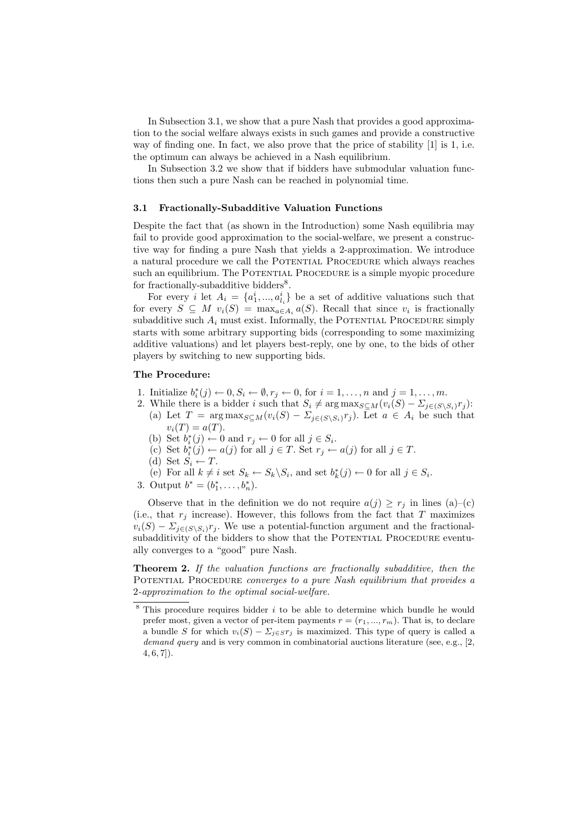In Subsection 3.1, we show that a pure Nash that provides a good approximation to the social welfare always exists in such games and provide a constructive way of finding one. In fact, we also prove that the price of stability [1] is 1, i.e. the optimum can always be achieved in a Nash equilibrium.

In Subsection 3.2 we show that if bidders have submodular valuation functions then such a pure Nash can be reached in polynomial time.

#### 3.1 Fractionally-Subadditive Valuation Functions

Despite the fact that (as shown in the Introduction) some Nash equilibria may fail to provide good approximation to the social-welfare, we present a constructive way for finding a pure Nash that yields a 2-approximation. We introduce a natural procedure we call the Potential Procedure which always reaches such an equilibrium. The POTENTIAL PROCEDURE is a simple myopic procedure for fractionally-subadditive bidders<sup>8</sup>.

For every *i* let  $A_i = \{a_1^i, ..., a_{l_i}^i\}$  be a set of additive valuations such that for every  $S \subseteq M$   $v_i(S) = \max_{a \in A_i} a(S)$ . Recall that since  $v_i$  is fractionally subadditive such  $A_i$  must exist. Informally, the POTENTIAL PROCEDURE simply starts with some arbitrary supporting bids (corresponding to some maximizing additive valuations) and let players best-reply, one by one, to the bids of other players by switching to new supporting bids.

#### The Procedure:

- 1. Initialize  $b_i^*(j) \leftarrow 0, S_i \leftarrow \emptyset, r_j \leftarrow 0$ , for  $i = 1, \ldots, n$  and  $j = 1, \ldots, m$ .
- 2. While there is a bidder i such that  $S_i \neq \arg \max_{S \subseteq M}(v_i(S) \Sigma_{j \in (S \setminus S_i)}r_j)$ : (a) Let  $T = \arg \max_{S \subseteq M} (v_i(S) - \sum_{j \in (S \setminus S_i)} r_j)$ . Let  $a \in A_i$  be such that
	- $v_i(T) = a(T)$ .
	- (b) Set  $b_i^*(j) \leftarrow 0$  and  $r_j \leftarrow 0$  for all  $j \in S_i$ .
	- (c) Set  $b_i^*(j) \leftarrow a(j)$  for all  $j \in T$ . Set  $r_j \leftarrow a(j)$  for all  $j \in T$ .
	- (d) Set  $S_i \leftarrow T$ .
	- (e) For all  $k \neq i$  set  $S_k \leftarrow S_k \backslash S_i$ , and set  $b_k^*(j) \leftarrow 0$  for all  $j \in S_i$ .
- 3. Output  $b^* = (b_1^*, \ldots, b_n^*)$ .

Observe that in the definition we do not require  $a(j) \geq r_j$  in lines (a)–(c) (i.e., that  $r_j$  increase). However, this follows from the fact that T maximizes  $v_i(S) - \sum_{j \in (S \setminus S_i)} r_j$ . We use a potential-function argument and the fractionalsubadditivity of the bidders to show that the POTENTIAL PROCEDURE eventually converges to a "good" pure Nash.

Theorem 2. If the valuation functions are fractionally subadditive, then the POTENTIAL PROCEDURE converges to a pure Nash equilibrium that provides a 2-approximation to the optimal social-welfare.

 $8$  This procedure requires bidder  $i$  to be able to determine which bundle he would prefer most, given a vector of per-item payments  $r = (r_1, ..., r_m)$ . That is, to declare a bundle S for which  $v_i(S) - \sum_{j \in S} r_j$  is maximized. This type of query is called a demand query and is very common in combinatorial auctions literature (see, e.g., [2,  $4, 6, 7$ ).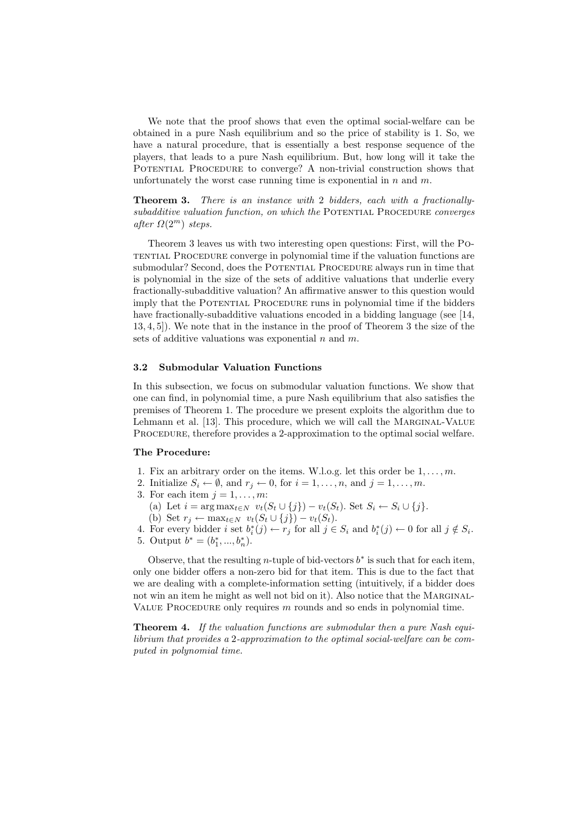We note that the proof shows that even the optimal social-welfare can be obtained in a pure Nash equilibrium and so the price of stability is 1. So, we have a natural procedure, that is essentially a best response sequence of the players, that leads to a pure Nash equilibrium. But, how long will it take the POTENTIAL PROCEDURE to converge? A non-trivial construction shows that unfortunately the worst case running time is exponential in  $n$  and  $m$ .

Theorem 3. There is an instance with 2 bidders, each with a fractionally $subadditive$  valuation function, on which the POTENTIAL PROCEDURE converges after  $\Omega(2^m)$  steps.

Theorem 3 leaves us with two interesting open questions: First, will the Potential Procedure converge in polynomial time if the valuation functions are submodular? Second, does the POTENTIAL PROCEDURE always run in time that is polynomial in the size of the sets of additive valuations that underlie every fractionally-subadditive valuation? An affirmative answer to this question would imply that the POTENTIAL PROCEDURE runs in polynomial time if the bidders have fractionally-subadditive valuations encoded in a bidding language (see [14, 13, 4, 5]). We note that in the instance in the proof of Theorem 3 the size of the sets of additive valuations was exponential  $n$  and  $m$ .

#### 3.2 Submodular Valuation Functions

In this subsection, we focus on submodular valuation functions. We show that one can find, in polynomial time, a pure Nash equilibrium that also satisfies the premises of Theorem 1. The procedure we present exploits the algorithm due to Lehmann et al. [13]. This procedure, which we will call the MARGINAL-VALUE PROCEDURE, therefore provides a 2-approximation to the optimal social welfare.

#### The Procedure:

- 1. Fix an arbitrary order on the items. W.l.o.g. let this order be  $1, \ldots, m$ .
- 2. Initialize  $S_i \leftarrow \emptyset$ , and  $r_j \leftarrow 0$ , for  $i = 1, \ldots, n$ , and  $j = 1, \ldots, m$ .
- 3. For each item  $j = 1, \ldots, m$ :
	- (a) Let  $i = \arg \max_{t \in N} v_t(S_t \cup \{j\}) v_t(S_t)$ . Set  $S_i \leftarrow S_i \cup \{j\}$ .
- (b) Set  $r_j \leftarrow \max_{t \in N} v_t(S_t \cup \{j\}) v_t(S_t).$
- 4. For every bidder i set  $b_i^*(j) \leftarrow r_j$  for all  $j \in S_i$  and  $b_i^*(j) \leftarrow 0$  for all  $j \notin S_i$ .
- 5. Output  $b^* = (b_1^*, ..., b_n^*)$ .

Observe, that the resulting *n*-tuple of bid-vectors  $b^*$  is such that for each item, only one bidder offers a non-zero bid for that item. This is due to the fact that we are dealing with a complete-information setting (intuitively, if a bidder does not win an item he might as well not bid on it). Also notice that the MARGINAL-VALUE PROCEDURE only requires  $m$  rounds and so ends in polynomial time.

Theorem 4. If the valuation functions are submodular then a pure Nash equilibrium that provides a 2-approximation to the optimal social-welfare can be computed in polynomial time.